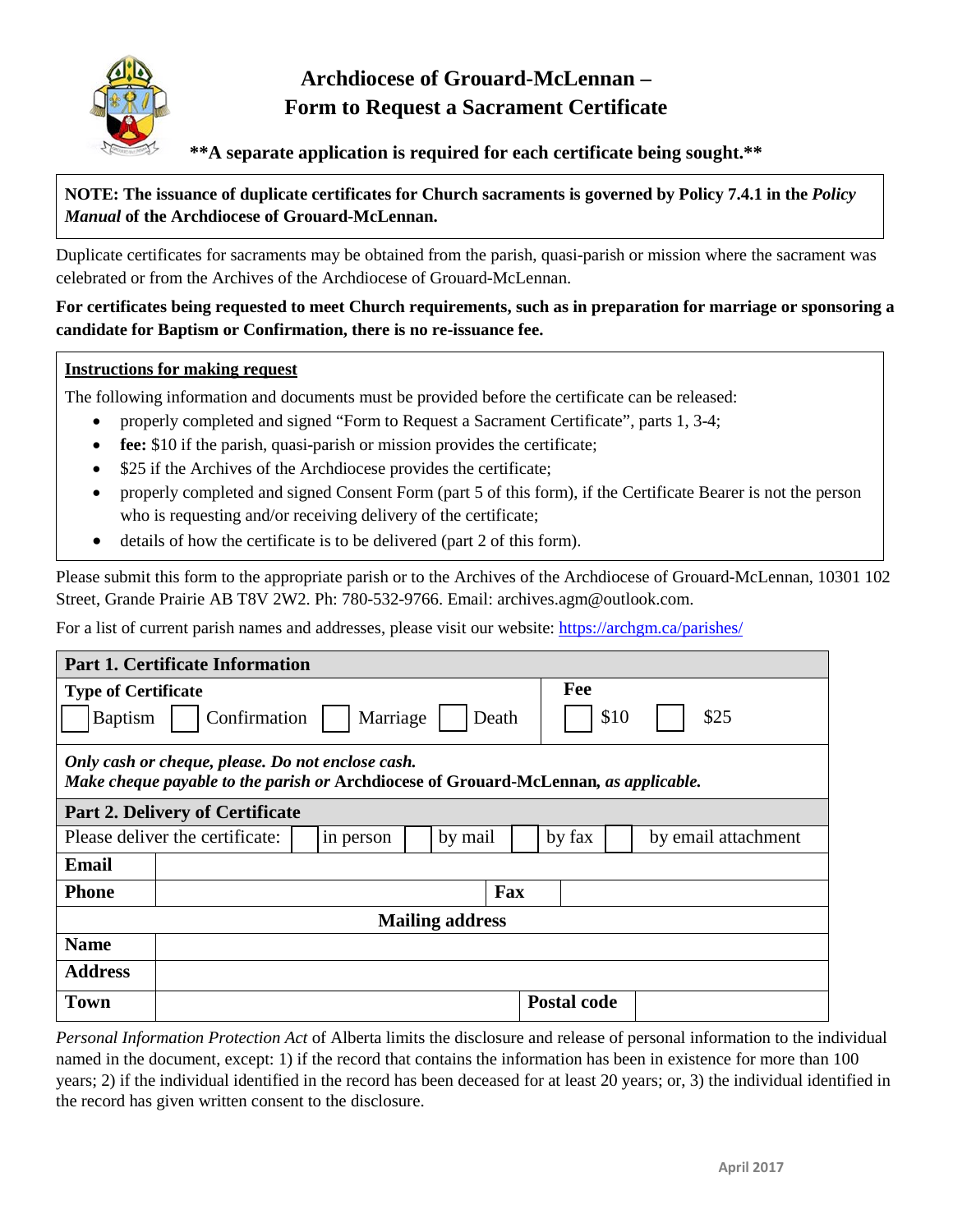

## **Archdiocese of Grouard-McLennan – Form to Request a Sacrament Certificate**

**\*\*A separate application is required for each certificate being sought.\*\***

## **NOTE: The issuance of duplicate certificates for Church sacraments is governed by Policy 7.4.1 in the** *Policy Manual* **of the Archdiocese of Grouard-McLennan.**

Duplicate certificates for sacraments may be obtained from the parish, quasi-parish or mission where the sacrament was celebrated or from the Archives of the Archdiocese of Grouard-McLennan.

## **For certificates being requested to meet Church requirements, such as in preparation for marriage or sponsoring a candidate for Baptism or Confirmation, there is no re-issuance fee.**

## **Instructions for making request**

The following information and documents must be provided before the certificate can be released:

- properly completed and signed "Form to Request a Sacrament Certificate", parts 1, 3-4;
- **fee:** \$10 if the parish, quasi-parish or mission provides the certificate;
- \$25 if the Archives of the Archdiocese provides the certificate;
- properly completed and signed Consent Form (part 5 of this form), if the Certificate Bearer is not the person who is requesting and/or receiving delivery of the certificate;
- details of how the certificate is to be delivered (part 2 of this form).

Please submit this form to the appropriate parish or to the Archives of the Archdiocese of Grouard-McLennan, 10301 102 Street, Grande Prairie AB T8V 2W2. Ph: 780-532-9766. Email: archives.agm@outlook.com.

For a list of current parish names and addresses, please visit our website:<https://archgm.ca/parishes/>

| <b>Part 1. Certificate Information</b>                                                                                                    |     |           |     |  |         |  |                    |                     |  |  |
|-------------------------------------------------------------------------------------------------------------------------------------------|-----|-----------|-----|--|---------|--|--------------------|---------------------|--|--|
| <b>Type of Certificate</b>                                                                                                                |     |           | Fee |  |         |  |                    |                     |  |  |
| Marriage<br>Confirmation<br><b>Baptism</b><br>Death                                                                                       |     |           |     |  |         |  | \$10<br>\$25       |                     |  |  |
| Only cash or cheque, please. Do not enclose cash.<br>Make cheque payable to the parish or Archdiocese of Grouard-McLennan, as applicable. |     |           |     |  |         |  |                    |                     |  |  |
| <b>Part 2. Delivery of Certificate</b>                                                                                                    |     |           |     |  |         |  |                    |                     |  |  |
| Please deliver the certificate:                                                                                                           |     | in person |     |  | by mail |  | by fax             | by email attachment |  |  |
| <b>Email</b>                                                                                                                              |     |           |     |  |         |  |                    |                     |  |  |
| <b>Phone</b>                                                                                                                              | Fax |           |     |  |         |  |                    |                     |  |  |
| <b>Mailing address</b>                                                                                                                    |     |           |     |  |         |  |                    |                     |  |  |
| <b>Name</b>                                                                                                                               |     |           |     |  |         |  |                    |                     |  |  |
| <b>Address</b>                                                                                                                            |     |           |     |  |         |  |                    |                     |  |  |
| <b>Town</b>                                                                                                                               |     |           |     |  |         |  | <b>Postal code</b> |                     |  |  |

*Personal Information Protection Act* of Alberta limits the disclosure and release of personal information to the individual named in the document, except: 1) if the record that contains the information has been in existence for more than 100 years; 2) if the individual identified in the record has been deceased for at least 20 years; or, 3) the individual identified in the record has given written consent to the disclosure.